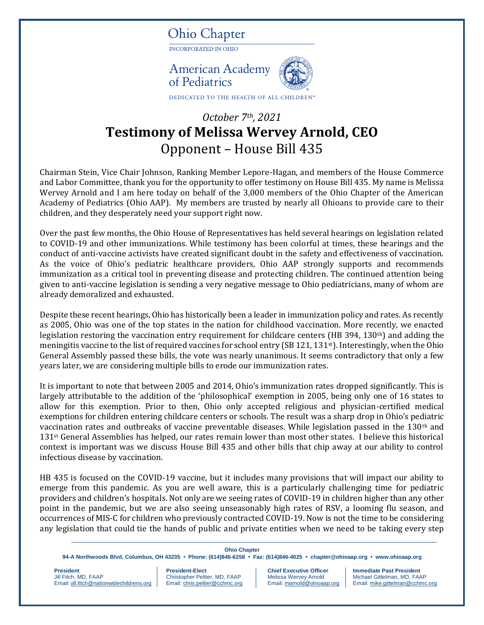

## *October 7th, 2021* **Testimony of Melissa Wervey Arnold, CEO** Opponent – House Bill 435

Chairman Stein, Vice Chair Johnson, Ranking Member Lepore-Hagan, and members of the House Commerce and Labor Committee, thank you for the opportunity to offer testimony on House Bill 435. My name is Melissa Wervey Arnold and I am here today on behalf of the 3,000 members of the Ohio Chapter of the American Academy of Pediatrics (Ohio AAP). My members are trusted by nearly all Ohioans to provide care to their children, and they desperately need your support right now.

Over the past few months, the Ohio House of Representatives has held several hearings on legislation related to COVID-19 and other immunizations. While testimony has been colorful at times, these hearings and the conduct of anti-vaccine activists have created significant doubt in the safety and effectiveness of vaccination. As the voice of Ohio's pediatric healthcare providers, Ohio AAP strongly supports and recommends immunization as a critical tool in preventing disease and protecting children. The continued attention being given to anti-vaccine legislation is sending a very negative message to Ohio pediatricians, many of whom are already demoralized and exhausted.

Despite these recent hearings, Ohio has historically been a leader in immunization policy and rates. As recently as 2005, Ohio was one of the top states in the nation for childhood vaccination. More recently, we enacted legislation restoring the vaccination entry requirement for childcare centers (HB 394, 130th) and adding the meningitis vaccine to the list of required vaccines for school entry (SB 121, 131st). Interestingly, when the Ohio General Assembly passed these bills, the vote was nearly unanimous. It seems contradictory that only a few years later, we are considering multiple bills to erode our immunization rates.

It is important to note that between 2005 and 2014, Ohio's immunization rates dropped significantly. This is largely attributable to the addition of the 'philosophical' exemption in 2005, being only one of 16 states to allow for this exemption. Prior to then, Ohio only accepted religious and physician-certified medical exemptions for children entering childcare centers or schools. The result was a sharp drop in Ohio's pediatric vaccination rates and outbreaks of vaccine preventable diseases. While legislation passed in the 130th and 131st General Assemblies has helped, our rates remain lower than most other states. I believe this historical context is important was we discuss House Bill 435 and other bills that chip away at our ability to control infectious disease by vaccination.

HB 435 is focused on the COVID-19 vaccine, but it includes many provisions that will impact our ability to emerge from this pandemic. As you are well aware, this is a particularly challenging time for pediatric providers and children's hospitals. Not only are we seeing rates of COVID-19 in children higher than any other point in the pandemic, but we are also seeing unseasonably high rates of RSV, a looming flu season, and occurrences of MIS-C for children who previously contracted COVID-19. Now is not the time to be considering any legislation that could tie the hands of public and private entities when we need to be taking every step

## **Ohio Chapter**

**94-A Northwoods Blvd, Columbus, OH 43235 • Phone: (614)846-6258 • Fax: (614)846-4025 • [chapter@ohioaap.org](mailto:chapter@ohioaap.org) • [www.ohioaap.org](http://www.ohioaap.org/)**

**President President President-Elect Chief Executive Officer | Immediate Past President** Christopher Peltier, MD, FAAP Melissa Wervey Arnold Michael Gittelman, MD, FAA Email[: jill.fitch@nationwidechildrens.org](mailto:jill.fitch@nationwidechildrens.orgC) Email[: chris.peltier@cchmc.org](mailto:chris.peltier@cchmc.org) Email[: marnold@ohioaap.org](mailto:marnold@ohioaap.org) Email[: mike.gittelman@cchmc.org](mailto:mike.gittelman@cchmc.org)

Michael Gittelman, MD, FAAP